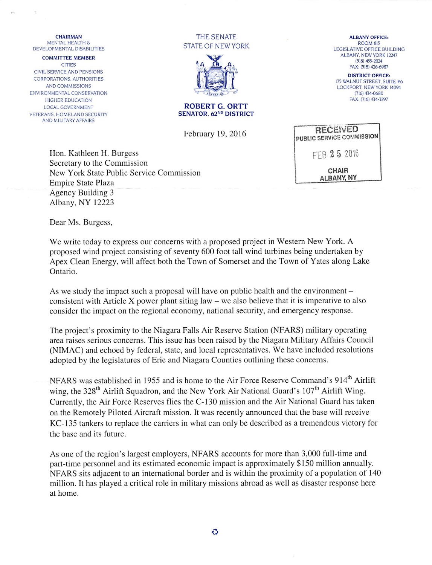## **CHAIRMAN** MENTAL HEALTH & DEVELOPMENTAL DISABILITIES

COMMITTEE MEMBER **CITIES** CIVIL SERVICE AND PENSIONS CORPORATIONS, AUTHORITIES AND COMMISSIONS ENVIRONMENTAL CONSERVATION HIGHER EDUCATION LOCAL GOVERNMENT VETERANS, HOMELAND SECURITY AND MILITARY AFFAIRS

THE SENATE STATE OF NEW YORK



ALBANY OFFICE: ROOM 815 LEGISLATIVE OFFICE BUILDING ALBANY, NEW YORK 12247 (518) 455-2024 FAX: (518) 426-6987

DISTRICT OFFICE: 175 WALNUT STREET, SUITE #6 LOCKPORT, NEW YORK 14094 (716) 434-0680 FAX: (7)6) 434-3297

| ROBERT G. ORTT                     |  |
|------------------------------------|--|
| SENATOR, 62 <sup>ND</sup> DISTRICT |  |

February 19, 2016

Hon. Kathleen H. Burgess Secretary to the Commission New York State Public Service Commission Empire State Plaza Agency Building 3 Albany, NY 12223

**RECEIVED** PUBUC SERViCE COWMiSSION FEB 25 2016 CHAIR ALBANY NY

Dear Ms. Burgess,

We write today to express our concerns with a proposed project in Western New York. A proposed wind project consisting of seventy 600 foot tall wind turbines being undertaken by Apex Clean Energy, will affect both the Town of Somerset and the Town of Yates along Lake Ontario.

As we study the impact such a proposal will have on public health and the environment – consistent with Article X power plant siting law - we also believe that it is imperative to also consider the impact on the regional economy, national security, and emergency response.

The project's proximity to the Niagara Falls Air Reserve Station (NFARS) military operating area raises serious concerns. This issue has been raised by the Niagara Military Affairs Council (NIMAC) and echoed by federal, state, and local representatives. We have included resolutions adopted by the legislatures of Erie and Niagara Counties outlining these concerns.

NFARS was established in 1955 and is home to the Air Force Reserve Command's 914<sup>th</sup> Airlift wing, the 328<sup>th</sup> Airlift Squadron, and the New York Air National Guard's 107<sup>th</sup> Airlift Wing. Currently, the Air Force Reserves flies the C-130 mission and the Air National Guard has taken on the Remotely Piloted Aircraft mission. It was recently announced that the base will receive KC-135 tankers to replace the carriers in what can only be described as a tremendous victory for the base and its future.

As one of the region's largest employers, NFARS accounts for more than 3,000 full-time and part-time personnel and its estimated economic impact is approximately \$150 million annually. NFARS sits adjacent to an international border and is within the proximity of a population of 140 million. It has played a critical role in military missions abroad as well as disaster response here at home.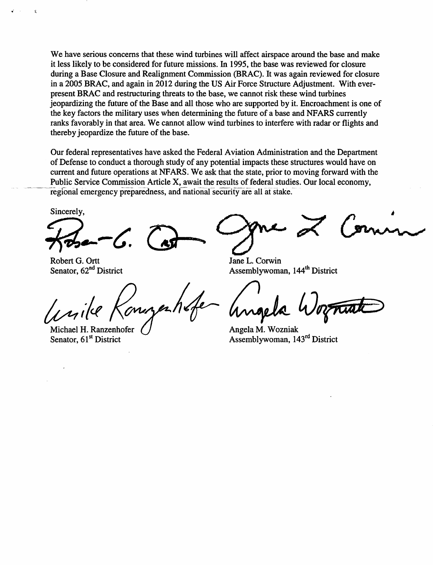We have serious concerns that these wind turbines will affect airspace around the base and make it less likely to be considered for future missions. In 1995, the base was reviewed for closure during a Base Closure and Realignment Commission (BRAC). It was again reviewed for closure in a 2005 BRAC, and again in 2012 during the US Air Force Structure Adjustment. With everpresent BRAC and restructuring threats to the base, we cannot risk these wind turbines jeopardizing the future of the Base and all those who are supported by it. Encroachment is one of the key factors the military uses when determining the future of a base and NFARS currently ranks favorably in that area. We cannot allow wind turbines to interfere with radar or flights and thereby jeopardize the future of the base.

Our federal representatives have asked the Federal Aviation Administration and the Department of Defense to conduct a thorough study of any potential impacts these structures would have on current and future operations at NFARS. We ask that the state, prior to moving forward with the Public Service Commission Article X, await the results of federal studies. Our local economy, regional emergency preparedness, and national security are all at stake.

Sincerely,

Robert G. Ortt Senator, 62<sup>nd</sup> District

Michael H. Ranzenhofer Senator, 61<sup>st</sup> District

Jane L. Corwin Assemblywoman, 144<sup>th</sup> District

Angela M. Wozniak Assemblywoman, 143<sup>rd</sup> District